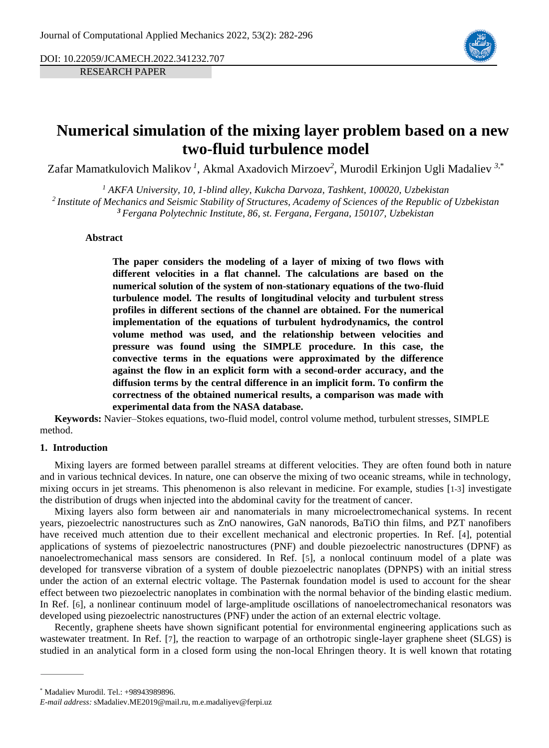DOI: 10.22059/JCAMECH.2022.341232.707

RESEARCH PAPER



# **Numerical simulation of the mixing layer problem based on a new two-fluid turbulence model**

Zafar Mamatkulovich Malikov *<sup>1</sup>* , Akmal Axadovich Mirzoev*<sup>2</sup>* , Murodil Erkinjon Ugli Madaliev *3,*\*

*<sup>1</sup> AKFA University, 10, 1-blind alley, Kukcha Darvoza, Tashkent, 100020, Uzbekistan 2 Institute of Mechanics and Seismic Stability of Structures, Academy of Sciences of the Republic of Uzbekistan <sup>3</sup> Fergana Polytechnic Institute, 86, st. Fergana, Fergana, 150107, Uzbekistan*

# **Abstract**

**The paper considers the modeling of a layer of mixing of two flows with different velocities in a flat channel. The calculations are based on the numerical solution of the system of non-stationary equations of the two-fluid turbulence model. The results of longitudinal velocity and turbulent stress profiles in different sections of the channel are obtained. For the numerical implementation of the equations of turbulent hydrodynamics, the control volume method was used, and the relationship between velocities and pressure was found using the SIMPLE procedure. In this case, the convective terms in the equations were approximated by the difference against the flow in an explicit form with a second-order accuracy, and the diffusion terms by the central difference in an implicit form. To confirm the correctness of the obtained numerical results, a comparison was made with experimental data from the NASA database.**

**Keywords:** Navier–Stokes equations, two-fluid model, control volume method, turbulent stresses, SIMPLE method.

# **1. Introduction**

Mixing layers are formed between parallel streams at different velocities. They are often found both in nature and in various technical devices. In nature, one can observe the mixing of two oceanic streams, while in technology, mixing occurs in jet streams. This phenomenon is also relevant in medicine. For example, studies [[1-3](#page-12-0)] investigate the distribution of drugs when injected into the abdominal cavity for the treatment of cancer.

Mixing layers also form between air and nanomaterials in many microelectromechanical systems. In recent years, piezoelectric nanostructures such as ZnO nanowires, GaN nanorods, BaTiO thin films, and PZT nanofibers have received much attention due to their excellent mechanical and electronic properties. In Ref. [[4](#page-12-1)], potential applications of systems of piezoelectric nanostructures (PNF) and double piezoelectric nanostructures (DPNF) as nanoelectromechanical mass sensors are considered. In Ref. [[5](#page-12-2)], a nonlocal continuum model of a plate was developed for transverse vibration of a system of double piezoelectric nanoplates (DPNPS) with an initial stress under the action of an external electric voltage. The Pasternak foundation model is used to account for the shear effect between two piezoelectric nanoplates in combination with the normal behavior of the binding elastic medium. In Ref. [[6](#page-12-3)], a nonlinear continuum model of large-amplitude oscillations of nanoelectromechanical resonators was developed using piezoelectric nanostructures (PNF) under the action of an external electric voltage.

Recently, graphene sheets have shown significant potential for environmental engineering applications such as wastewater treatment. In Ref. [[7](#page-12-4)], the reaction to warpage of an orthotropic single-layer graphene sheet (SLGS) is studied in an analytical form in a closed form using the non-local Ehringen theory. It is well known that rotating

<sup>\*</sup> Madaliev Murodil. Tel.: +98943989896.

*E-mail address:* sMadaliev.ME2019@mail.ru, m.e.madaliyev@ferpi.uz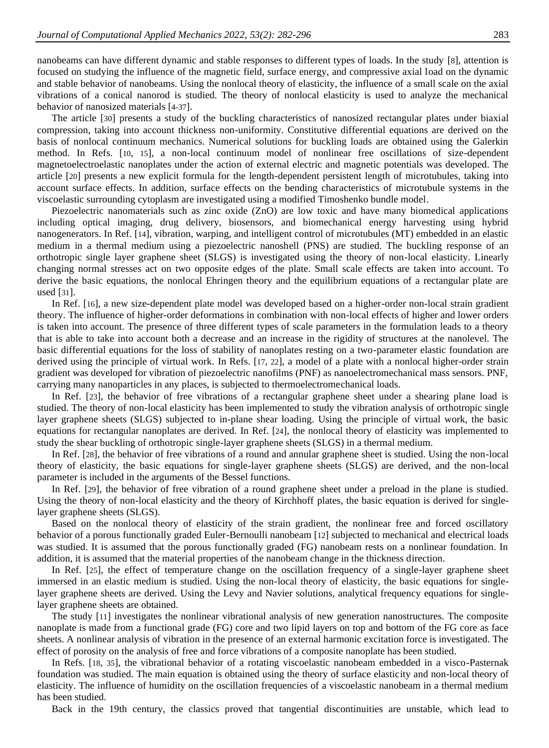nanobeams can have different dynamic and stable responses to different types of loads. In the study [[8](#page-12-5)], attention is focused on studying the influence of the magnetic field, surface energy, and compressive axial load on the dynamic and stable behavior of nanobeams. Using the nonlocal theory of elasticity, the influence of a small scale on the axial vibrations of a conical nanorod is studied. The theory of nonlocal elasticity is used to analyze the mechanical behavior of nanosized materials [[4-37](#page-12-1)].

The article [[30](#page-13-0)] presents a study of the buckling characteristics of nanosized rectangular plates under biaxial compression, taking into account thickness non-uniformity. Constitutive differential equations are derived on the basis of nonlocal continuum mechanics. Numerical solutions for buckling loads are obtained using the Galerkin method. In Refs. [[10](#page-12-6), [15](#page-13-1)], a non-local continuum model of nonlinear free oscillations of size-dependent magnetoelectroelastic nanoplates under the action of external electric and magnetic potentials was developed. The article [[20](#page-13-2)] presents a new explicit formula for the length-dependent persistent length of microtubules, taking into account surface effects. In addition, surface effects on the bending characteristics of microtubule systems in the viscoelastic surrounding cytoplasm are investigated using a modified Timoshenko bundle model.

Piezoelectric nanomaterials such as zinc oxide (ZnO) are low toxic and have many biomedical applications including optical imaging, drug delivery, biosensors, and biomechanical energy harvesting using hybrid nanogenerators. In Ref. [[14](#page-13-3)], vibration, warping, and intelligent control of microtubules (MT) embedded in an elastic medium in a thermal medium using a piezoelectric nanoshell (PNS) are studied. The buckling response of an orthotropic single layer graphene sheet (SLGS) is investigated using the theory of non-local elasticity. Linearly changing normal stresses act on two opposite edges of the plate. Small scale effects are taken into account. To derive the basic equations, the nonlocal Ehringen theory and the equilibrium equations of a rectangular plate are used [[31](#page-14-0)].

In Ref. [[16](#page-13-4)], a new size-dependent plate model was developed based on a higher-order non-local strain gradient theory. The influence of higher-order deformations in combination with non-local effects of higher and lower orders is taken into account. The presence of three different types of scale parameters in the formulation leads to a theory that is able to take into account both a decrease and an increase in the rigidity of structures at the nanolevel. The basic differential equations for the loss of stability of nanoplates resting on a two-parameter elastic foundation are derived using the principle of virtual work. In Refs. [[17](#page-13-5), [22](#page-13-6)], a model of a plate with a nonlocal higher-order strain gradient was developed for vibration of piezoelectric nanofilms (PNF) as nanoelectromechanical mass sensors. PNF, carrying many nanoparticles in any places, is subjected to thermoelectromechanical loads.

In Ref. [[23](#page-13-7)], the behavior of free vibrations of a rectangular graphene sheet under a shearing plane load is studied. The theory of non-local elasticity has been implemented to study the vibration analysis of orthotropic single layer graphene sheets (SLGS) subjected to in-plane shear loading. Using the principle of virtual work, the basic equations for rectangular nanoplates are derived. In Ref. [[24](#page-13-8)], the nonlocal theory of elasticity was implemented to study the shear buckling of orthotropic single-layer graphene sheets (SLGS) in a thermal medium.

In Ref. [[28](#page-13-9)], the behavior of free vibrations of a round and annular graphene sheet is studied. Using the non-local theory of elasticity, the basic equations for single-layer graphene sheets (SLGS) are derived, and the non-local parameter is included in the arguments of the Bessel functions.

In Ref. [[29](#page-13-10)], the behavior of free vibration of a round graphene sheet under a preload in the plane is studied. Using the theory of non-local elasticity and the theory of Kirchhoff plates, the basic equation is derived for singlelayer graphene sheets (SLGS).

Based on the nonlocal theory of elasticity of the strain gradient, the nonlinear free and forced oscillatory behavior of a porous functionally graded Euler-Bernoulli nanobeam [[12](#page-13-11)] subjected to mechanical and electrical loads was studied. It is assumed that the porous functionally graded (FG) nanobeam rests on a nonlinear foundation. In addition, it is assumed that the material properties of the nanobeam change in the thickness direction.

In Ref. [[25](#page-13-12)], the effect of temperature change on the oscillation frequency of a single-layer graphene sheet immersed in an elastic medium is studied. Using the non-local theory of elasticity, the basic equations for singlelayer graphene sheets are derived. Using the Levy and Navier solutions, analytical frequency equations for singlelayer graphene sheets are obtained.

The study [[11](#page-13-13)] investigates the nonlinear vibrational analysis of new generation nanostructures. The composite nanoplate is made from a functional grade (FG) core and two lipid layers on top and bottom of the FG core as face sheets. A nonlinear analysis of vibration in the presence of an external harmonic excitation force is investigated. The effect of porosity on the analysis of free and force vibrations of a composite nanoplate has been studied.

In Refs. [[18](#page-13-14), [35](#page-14-1)], the vibrational behavior of a rotating viscoelastic nanobeam embedded in a visco-Pasternak foundation was studied. The main equation is obtained using the theory of surface elasticity and non-local theory of elasticity. The influence of humidity on the oscillation frequencies of a viscoelastic nanobeam in a thermal medium has been studied.

Back in the 19th century, the classics proved that tangential discontinuities are unstable, which lead to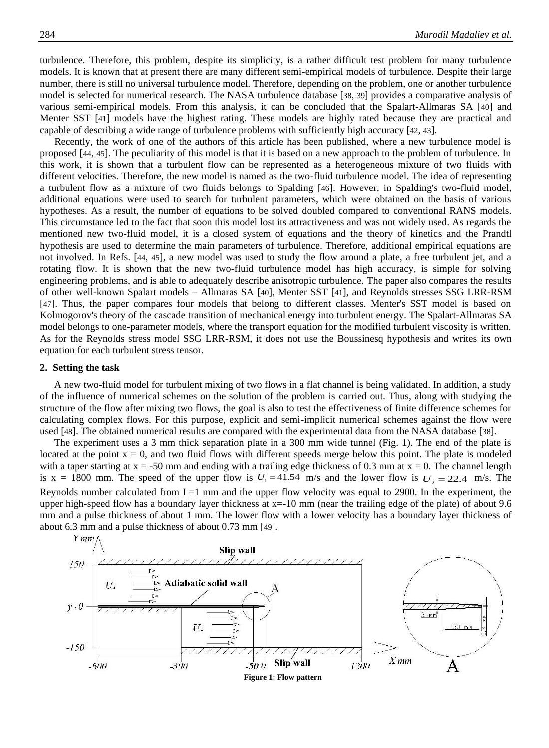turbulence. Therefore, this problem, despite its simplicity, is a rather difficult test problem for many turbulence models. It is known that at present there are many different semi-empirical models of turbulence. Despite their large number, there is still no universal turbulence model. Therefore, depending on the problem, one or another turbulence model is selected for numerical research. The NASA turbulence database [[38](#page-14-2), [39](#page-14-3)] provides a comparative analysis of various semi-empirical models. From this analysis, it can be concluded that the Spalart-Allmaras SA [[40](#page-14-4)] and Menter SST [[41](#page-14-5)] models have the highest rating. These models are highly rated because they are practical and capable of describing a wide range of turbulence problems with sufficiently high accuracy [[42](#page-14-6), [43](#page-14-7)].

Recently, the work of one of the authors of this article has been published, where a new turbulence model is proposed [[44](#page-14-8), [45](#page-14-9)]. The peculiarity of this model is that it is based on a new approach to the problem of turbulence. In this work, it is shown that a turbulent flow can be represented as a heterogeneous mixture of two fluids with different velocities. Therefore, the new model is named as the two-fluid turbulence model. The idea of representing a turbulent flow as a mixture of two fluids belongs to Spalding [[46](#page-14-10)]. However, in Spalding's two-fluid model, additional equations were used to search for turbulent parameters, which were obtained on the basis of various hypotheses. As a result, the number of equations to be solved doubled compared to conventional RANS models. This circumstance led to the fact that soon this model lost its attractiveness and was not widely used. As regards the mentioned new two-fluid model, it is a closed system of equations and the theory of kinetics and the Prandtl hypothesis are used to determine the main parameters of turbulence. Therefore, additional empirical equations are not involved. In Refs. [[44](#page-14-8), [45](#page-14-9)], a new model was used to study the flow around a plate, a free turbulent jet, and a rotating flow. It is shown that the new two-fluid turbulence model has high accuracy, is simple for solving engineering problems, and is able to adequately describe anisotropic turbulence. The paper also compares the results of other well-known Spalart models – Allmaras SA [[40](#page-14-4)], Menter SST [[41](#page-14-5)], and Reynolds stresses SSG LRR-RSM [[47](#page-14-11)]. Thus, the paper compares four models that belong to different classes. Menter's SST model is based on Kolmogorov's theory of the cascade transition of mechanical energy into turbulent energy. The Spalart-Allmaras SA model belongs to one-parameter models, where the transport equation for the modified turbulent viscosity is written. As for the Reynolds stress model SSG LRR-RSM, it does not use the Boussinesq hypothesis and writes its own equation for each turbulent stress tensor.

## **2. Setting the task**

A new two-fluid model for turbulent mixing of two flows in a flat channel is being validated. In addition, a study of the influence of numerical schemes on the solution of the problem is carried out. Thus, along with studying the structure of the flow after mixing two flows, the goal is also to test the effectiveness of finite difference schemes for calculating complex flows. For this purpose, explicit and semi-implicit numerical schemes against the flow were used [[48](#page-14-12)]. The obtained numerical results are compared with the experimental data from the NASA database [[38](#page-14-2)].

The experiment uses a 3 mm thick separation plate in a 300 mm wide tunnel (Fig. 1). The end of the plate is located at the point  $x = 0$ , and two fluid flows with different speeds merge below this point. The plate is modeled with a taper starting at  $x = -50$  mm and ending with a trailing edge thickness of 0.3 mm at  $x = 0$ . The channel length is  $x = 1800$  mm. The speed of the upper flow is  $U_1 = 41.54$  m/s and the lower flow is  $U_2 = 22.4$  m/s. The Reynolds number calculated from L=1 mm and the upper flow velocity was equal to 2900. In the experiment, the upper high-speed flow has a boundary layer thickness at  $x=-10$  mm (near the trailing edge of the plate) of about 9.6 mm and a pulse thickness of about 1 mm. The lower flow with a lower velocity has a boundary layer thickness of about 6.3 mm and a pulse thickness of about 0.73 mm [[49](#page-14-13)].

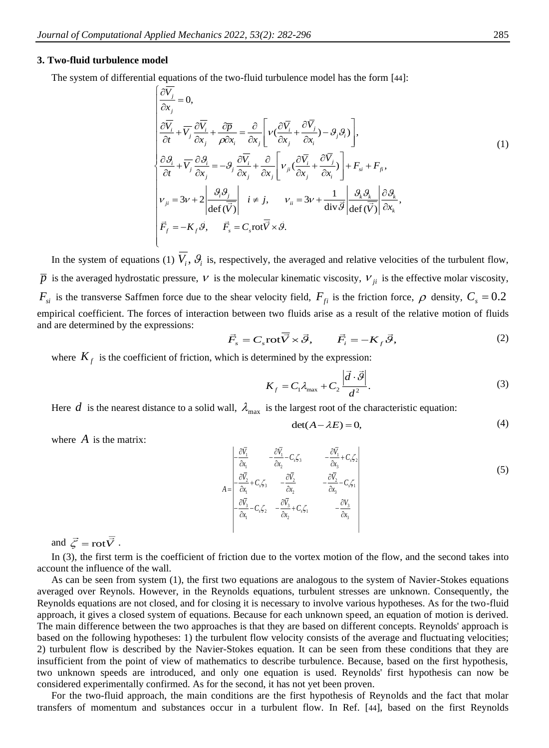#### **3. Two-fluid turbulence model**

The system of differential equations of the two-fluid turbulence model has the form [[44](#page-14-8)]:

$$
\begin{cases}\n\frac{\partial \overline{V_j}}{\partial x_j} = 0, \\
\frac{\partial \overline{V_i}}{\partial t} + \overline{V_j} \frac{\partial \overline{V_i}}{\partial x_j} + \frac{\partial \overline{p}}{\partial x_k} = \frac{\partial}{\partial x_j} \left[ v \left( \frac{\partial \overline{V_i}}{\partial x_j} + \frac{\partial \overline{V_j}}{\partial x_i} \right) - \mathcal{G}_j \mathcal{G}_i \right), \\
\frac{\partial \mathcal{G}_i}{\partial t} + \overline{V_j} \frac{\partial \mathcal{G}_i}{\partial x_j} = -\mathcal{G}_j \frac{\partial \overline{V_i}}{\partial x_j} + \frac{\partial}{\partial x_j} \left[ v_{ji} \left( \frac{\partial \overline{V_i}}{\partial x_j} + \frac{\partial \overline{V_j}}{\partial x_i} \right) \right] + F_{si} + F_{fi}, \\
v_{ji} = 3v + 2 \left| \frac{\mathcal{G}_i \mathcal{G}_j}{\det(\overline{V})} \right| \quad i \neq j, \qquad v_{ii} = 3v + \frac{1}{\mathrm{div}\,\overline{\mathcal{G}}} \left| \frac{\mathcal{G}_k \mathcal{G}_k}{\det(\overline{V})} \right| \frac{\partial \mathcal{G}_k}{\partial x_k}, \\
\vec{F}_f = -K_f \vec{\mathcal{G}}, \qquad \vec{F}_s = C_s \mathrm{rot}\vec{V} \times \vec{\mathcal{G}}.\n\end{cases}
$$
\n(1)

In the system of equations (1)  $V_i$ ,  $\mathcal{G}_i$  is, respectively, the averaged and relative velocities of the turbulent flow,  $\bar{p}$  is the averaged hydrostatic pressure,  $V$  is the molecular kinematic viscosity,  $V_{ji}$  is the effective molar viscosity,  $F_{si}$  is the transverse Saffmen force due to the shear velocity field,  $F_{fi}$  is the friction force,  $\rho$  density,  $C_s = 0.2$ empirical coefficient. The forces of interaction between two fluids arise as a result of the relative motion of fluids and are determined by the expressions:

$$
\vec{F}_s = C_s \text{rot}\overline{\vec{V}} \times \vec{\mathcal{G}}, \qquad \vec{F}_i = -K_f \vec{\mathcal{G}}, \tag{2}
$$

where  $K_f$  is the coefficient of friction, which is determined by the expression:

$$
K_f = C_1 \lambda_{\text{max}} + C_2 \frac{\left| \vec{d} \cdot \vec{\mathcal{G}} \right|}{d^2}.
$$
 (3)

Here  $d$  is the nearest distance to a solid wall,  $\lambda_{\text{max}}$  is the largest root of the characteristic equation:

$$
\det(A - \lambda E) = 0,\tag{4}
$$

where  $\vec{A}$  is the matrix:

$$
A = \begin{vmatrix} -\frac{\partial \overline{V_1}}{\partial x_1} & -\frac{\partial \overline{V_1}}{\partial x_2} - C_s \zeta_3 & -\frac{\partial \overline{V_1}}{\partial x_3} + C_s \zeta_2 \\ -\frac{\partial \overline{V_2}}{\partial x_1} + C_s \zeta_3 & -\frac{\partial \overline{V_2}}{\partial x_2} & -\frac{\partial \overline{V_2}}{\partial x_3} - C_s \zeta_1 \\ -\frac{\partial \overline{V_3}}{\partial x_1} - C_s \zeta_2 & -\frac{\partial \overline{V_3}}{\partial x_2} + C_s \zeta_1 & -\frac{\partial V_3}{\partial x_3} \end{vmatrix}
$$
(5)

and  $\vec{\zeta} = \text{rot}\vec{V}$ .

In (3), the first term is the coefficient of friction due to the vortex motion of the flow, and the second takes into account the influence of the wall.

As can be seen from system (1), the first two equations are analogous to the system of Navier-Stokes equations averaged over Reynols. However, in the Reynolds equations, turbulent stresses are unknown. Consequently, the Reynolds equations are not closed, and for closing it is necessary to involve various hypotheses. As for the two-fluid approach, it gives a closed system of equations. Because for each unknown speed, an equation of motion is derived. The main difference between the two approaches is that they are based on different concepts. Reynolds' approach is based on the following hypotheses: 1) the turbulent flow velocity consists of the average and fluctuating velocities; 2) turbulent flow is described by the Navier-Stokes equation. It can be seen from these conditions that they are insufficient from the point of view of mathematics to describe turbulence. Because, based on the first hypothesis, two unknown speeds are introduced, and only one equation is used. Reynolds' first hypothesis can now be considered experimentally confirmed. As for the second, it has not yet been proven.

For the two-fluid approach, the main conditions are the first hypothesis of Reynolds and the fact that molar transfers of momentum and substances occur in a turbulent flow. In Ref. [[44](#page-14-8)], based on the first Reynolds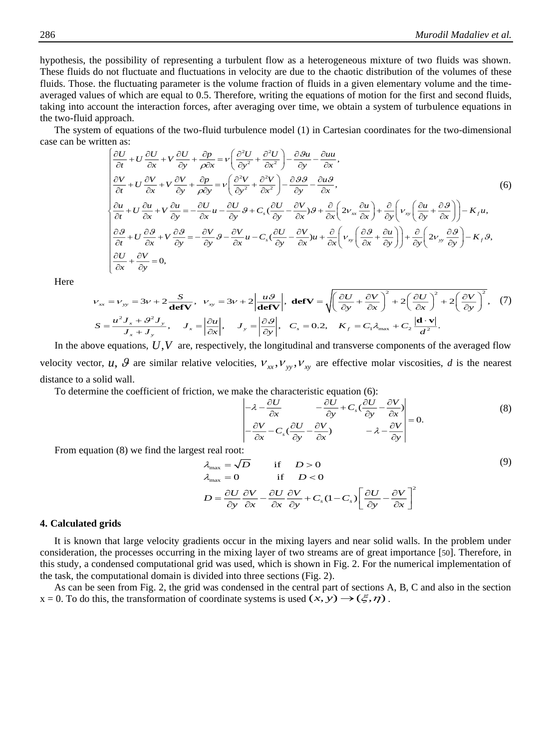hypothesis, the possibility of representing a turbulent flow as a heterogeneous mixture of two fluids was shown. These fluids do not fluctuate and fluctuations in velocity are due to the chaotic distribution of the volumes of these fluids. Those. the fluctuating parameter is the volume fraction of fluids in a given elementary volume and the timeaveraged values of which are equal to 0.5. Therefore, writing the equations of motion for the first and second fluids, taking into account the interaction forces, after averaging over time, we obtain a system of turbulence equations in the two-fluid approach.

The system of equations of the two-fluid turbulence model (1) in Cartesian coordinates for the two-dimensional e can be written as:<br>  $\left[\frac{\partial U}{\partial t} + U \frac{\partial U}{\partial t} + V \frac{\partial U}{\partial t} - V \frac{\partial^2 U}{\partial t} - V \frac{\partial^2 U}{\partial t} - V \frac{\partial^2 U}{\partial t} - V \frac{\partial^2 U$ case can be written as:

Hint the interaction forces, after averaging over time, we obtain a system of introduce equations in

\nfor each.

\nof equations of the two-fluid turbulence model (1) in Cartesian coordinates for the two-dimensional

\nen as:

\n
$$
\left(\frac{\partial U}{\partial t} + U \frac{\partial U}{\partial x} + V \frac{\partial U}{\partial y} + \frac{\partial p}{\partial x} = \nu \left(\frac{\partial^2 U}{\partial y^2} + \frac{\partial^2 U}{\partial x^2}\right) - \frac{\partial \partial u}{\partial y} - \frac{\partial u u}{\partial x},
$$
\n
$$
\frac{\partial V}{\partial t} + U \frac{\partial V}{\partial x} + V \frac{\partial V}{\partial y} + \frac{\partial p}{\partial y} = \nu \left(\frac{\partial^2 V}{\partial y^2} + \frac{\partial^2 V}{\partial x^2}\right) - \frac{\partial \partial \partial}{\partial y} - \frac{\partial u \partial}{\partial x},
$$
\n(6)

\n
$$
\frac{\partial u}{\partial t} + U \frac{\partial u}{\partial x} + V \frac{\partial u}{\partial y} = -\frac{\partial U}{\partial x} u - \frac{\partial U}{\partial y} \partial + C_s \left(\frac{\partial U}{\partial y} - \frac{\partial V}{\partial x}\right) \partial + \frac{\partial}{\partial x} \left(2v_{xx} \frac{\partial u}{\partial x}\right) + \frac{\partial}{\partial y} \left(v_{xy} \left(\frac{\partial u}{\partial y} + \frac{\partial \partial}{\partial x}\right)\right) - K_f u,
$$
\n
$$
\frac{\partial \partial}{\partial t} + U \frac{\partial \partial}{\partial x} + V \frac{\partial \partial}{\partial y} = -\frac{\partial V}{\partial y} \partial - \frac{\partial V}{\partial x} u - C_s \left(\frac{\partial U}{\partial y} - \frac{\partial V}{\partial x}\right) u + \frac{\partial}{\partial x} \left(v_{xy} \left(\frac{\partial \partial}{\partial x} + \frac{\partial u}{\partial y}\right)\right) + \frac{\partial}{\partial y} \left(2v_{yy} \frac{\partial \partial}{\partial y}\right) - K_f \partial,
$$
\n
$$
\frac{\partial U}{\partial x} + \frac{\partial V}{\partial y} = 0,
$$
\n(6)

Here

$$
v_{xx} = v_{yy} = 3v + 2 \frac{S}{\text{defV}}, \quad v_{xy} = 3v + 2 \left| \frac{u\theta}{\text{defV}} \right|, \quad \text{defV} = \sqrt{\left( \frac{\partial U}{\partial y} + \frac{\partial V}{\partial x} \right)^2 + 2 \left( \frac{\partial U}{\partial x} \right)^2 + 2 \left( \frac{\partial V}{\partial y} \right)^2}, \quad (7)
$$
\n
$$
S = \frac{u^2 J_x + \theta^2 J_y}{J_x + J_y}, \quad J_x = \left| \frac{\partial u}{\partial x} \right|, \quad J_y = \left| \frac{\partial \theta}{\partial y} \right|, \quad C_z = 0.2, \quad K_f = C_1 \lambda_{\text{max}} + C_2 \frac{|\mathbf{d} \cdot \mathbf{v}|}{d^2}.
$$

In the above equations,  $U, V$  are, respectively, the longitudinal and transverse components of the averaged flow velocity vector, u,  $\mathcal{G}$  are similar relative velocities,  $V_{xx}$ ,  $V_{yy}$ ,  $V_{xy}$  are effective molar viscosities, d is the nearest distance to a solid wall.

To determine the coefficient of friction, we make the characteristic equation (6):

$$
\begin{vmatrix} -\lambda - \frac{\partial U}{\partial x} & -\frac{\partial U}{\partial y} + C_s \left( \frac{\partial U}{\partial y} - \frac{\partial V}{\partial x} \right) \\ -\frac{\partial V}{\partial x} - C_s \left( \frac{\partial U}{\partial y} - \frac{\partial V}{\partial x} \right) & -\lambda - \frac{\partial V}{\partial y} \end{vmatrix} = 0.
$$
 (8)

From equation (8) we find the largest real root:

$$
\lambda_{\max} = \sqrt{D} \quad \text{if} \quad D > 0 \tag{9}
$$
\n
$$
\lambda_{\max} = 0 \quad \text{if} \quad D < 0 \tag{9}
$$
\n
$$
D = \frac{\partial U}{\partial y} \frac{\partial V}{\partial x} - \frac{\partial U}{\partial x} \frac{\partial V}{\partial y} + C_s (1 - C_s) \left[ \frac{\partial U}{\partial y} - \frac{\partial V}{\partial x} \right]^2
$$

## **4. Calculated grids**

It is known that large velocity gradients occur in the mixing layers and near solid walls. In the problem under consideration, the processes occurring in the mixing layer of two streams are of great importance [[50](#page-14-14)]. Therefore, in this study, a condensed computational grid was used, which is shown in Fig. 2. For the numerical implementation of the task, the computational domain is divided into three sections (Fig. 2).

As can be seen from Fig. 2, the grid was condensed in the central part of sections A, B, C and also in the section  $x = 0$ . To do this, the transformation of coordinate systems is used  $(x, y) \rightarrow (\xi, \eta)$ .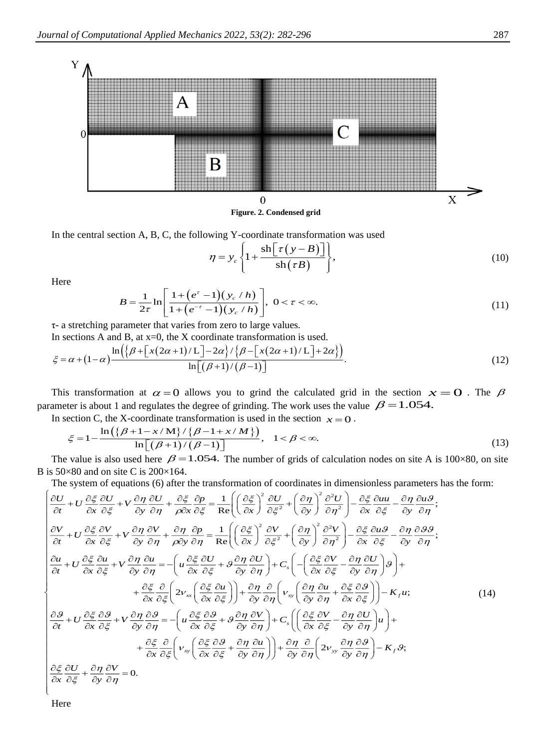

In the central section A, B, C, the following Y-coordinate transformation was used

$$
\eta = y_c \left\{ 1 + \frac{\sin[\tau(y - B)]}{\sin(\tau B)} \right\},\tag{10}
$$

Here

$$
B = \frac{1}{2\tau} \ln \left[ \frac{1 + (e^{\tau} - 1)(y_c / h)}{1 + (e^{-\tau} - 1)(y_c / h)} \right], \ 0 < \tau < \infty. \tag{11}
$$

τ- a stretching parameter that varies from zero to large values.

In sections A and B, at  $x=0$ , the X coordinate transformation is used.

$$
\xi = \alpha + (1 - \alpha) \frac{\ln\left(\left[\beta + \left[x(2\alpha + 1)/L\right] - 2\alpha\right] / \left\{\beta - \left[x(2\alpha + 1)/L\right] + 2\alpha\right\}\right)}{\ln\left[\left(\beta + 1\right) / \left(\beta - 1\right)\right]}.
$$
\n(12)

This transformation at  $\alpha = 0$  allows you to grind the calculated grid in the section  $x = 0$ . The  $\beta$ parameter is about 1 and regulates the degree of grinding. The work uses the value  $\beta = 1.054$ .

In section C, the X-coordinate transformation is used in the section  $x = 0$ .

$$
\xi = 1 - \frac{\ln\left(\left\{\beta + 1 - x/\mathbf{M}\right\}/\left\{\beta - 1 + x/\mathbf{M}\right\}\right)}{\ln\left[\left(\beta + 1\right)/\left(\beta - 1\right)\right]}, \quad 1 < \beta < \infty. \tag{13}
$$

The value is also used here  $\beta = 1.054$ . The number of grids of calculation nodes on site A is 100×80, on site B is  $50\times80$  and on site C is  $200\times164$ .

The system of equations (6) after the transformation of coordinates in dimensionless parameters has the form:

$$
\begin{cases}\n\frac{\partial U}{\partial t} + U \frac{\partial \xi}{\partial x} \frac{\partial U}{\partial \xi} + V \frac{\partial \eta}{\partial y} \frac{\partial U}{\partial \eta} + \frac{\partial \xi}{\partial x} \frac{\partial \rho}{\partial \xi} = \frac{1}{\text{Re}} \left( \left( \frac{\partial \xi}{\partial x} \right)^2 \frac{\partial U}{\partial \xi^2} + \left( \frac{\partial \eta}{\partial y} \right)^2 \frac{\partial^2 U}{\partial \eta^2} \right) - \frac{\partial \xi}{\partial x} \frac{\partial u u}{\partial \xi} - \frac{\partial \eta}{\partial y} \frac{\partial u \partial}{\partial \eta}; \\
\frac{\partial V}{\partial t} + U \frac{\partial \xi}{\partial x} \frac{\partial V}{\partial \xi} + V \frac{\partial \eta}{\partial y} \frac{\partial V}{\partial \eta} + \frac{\partial \eta}{\rho \partial y} \frac{\partial \rho}{\partial \eta} = \frac{1}{\text{Re}} \left( \left( \frac{\partial \xi}{\partial x} \right)^2 \frac{\partial V}{\partial \xi^2} + \left( \frac{\partial \eta}{\partial y} \right)^2 \frac{\partial^2 V}{\partial \eta^2} \right) - \frac{\partial \xi}{\partial x} \frac{\partial u \partial}{\partial \xi} - \frac{\partial \eta}{\partial y} \frac{\partial \partial \theta}{\partial \eta}; \\
\frac{\partial u}{\partial t} + U \frac{\partial \xi}{\partial x} \frac{\partial u}{\partial \xi} + V \frac{\partial \eta}{\partial y} \frac{\partial u}{\partial \eta} = - \left( u \frac{\partial \xi}{\partial x} \frac{\partial U}{\partial \xi} + g \frac{\partial \eta}{\partial y} \frac{\partial U}{\partial \eta} \right) + C_s \left( - \left( \frac{\partial \xi}{\partial x} \frac{\partial V}{\partial \xi} - \frac{\partial \eta}{\partial y} \frac{\partial U}{\partial \eta} \right) \right) + \frac{\partial \xi}{\partial x} \frac{\partial}{\partial \xi} \left( 2v_{xx} \left( \frac{\partial \xi}{\partial x} \frac{\partial u}{\partial \xi} \right) + \frac{\partial \eta}{\partial y} \frac{\partial}{\partial \eta} \left( v_{xy} \left( \frac{\partial \eta}{\partial x} \frac{\partial u}{\partial \xi} - \frac{\partial \eta}{\partial y} \frac{\partial U}{\partial \eta} \right) \right) + \frac{\partial \
$$

Here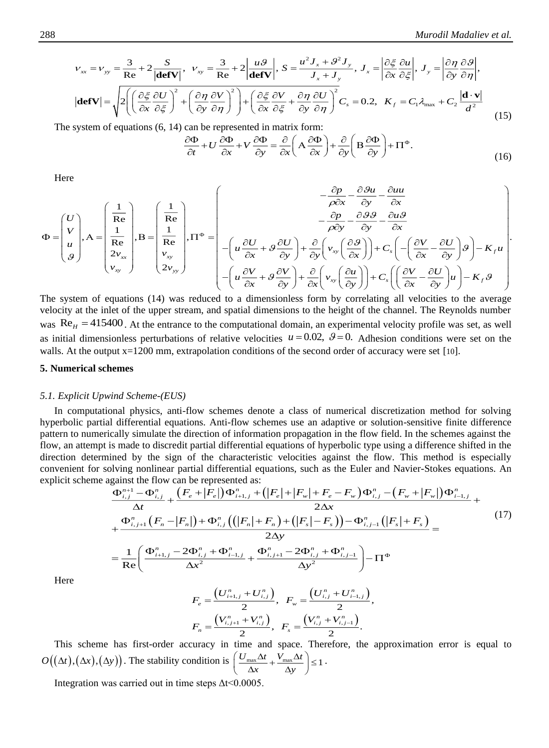$$
v_{xx} = v_{yy} = \frac{3}{\text{Re}} + 2\frac{S}{|\text{defV}|}, \quad v_{xy} = \frac{3}{\text{Re}} + 2\left|\frac{u\mathcal{G}}{\text{defV}}\right|, \quad S = \frac{u^2 J_x + \mathcal{G}^2 J_y}{J_x + J_y}, \quad J_x = \left|\frac{\partial \xi}{\partial x} \frac{\partial u}{\partial \xi}\right|, \quad J_y = \left|\frac{\partial \eta}{\partial y} \frac{\partial \mathcal{G}}{\partial \eta}\right|,
$$
\n
$$
|\text{defV}| = \sqrt{2\left(\left(\frac{\partial \xi}{\partial x} \frac{\partial U}{\partial \xi}\right)^2 + \left(\frac{\partial \eta}{\partial y} \frac{\partial V}{\partial \eta}\right)^2\right) + \left(\frac{\partial \xi}{\partial x} \frac{\partial V}{\partial \xi} + \frac{\partial \eta}{\partial y} \frac{\partial U}{\partial \eta}\right)^2} C_s = 0.2, \quad K_f = C_1 \lambda_{\text{max}} + C_2 \frac{|\text{d} \cdot \text{v}|}{d^2} \tag{15}
$$

The system of equations (6, 14) can be represented in matrix form:

$$
\frac{\partial \Phi}{\partial t} + U \frac{\partial \Phi}{\partial x} + V \frac{\partial \Phi}{\partial y} = \frac{\partial}{\partial x} \left( A \frac{\partial \Phi}{\partial x} \right) + \frac{\partial}{\partial y} \left( B \frac{\partial \Phi}{\partial y} \right) + \Pi^{\Phi}.
$$
\n(16)

Here

$$
\Phi = \begin{pmatrix} U \\ V \\ u \\ g \end{pmatrix}, A = \begin{pmatrix} \frac{1}{Re} \\ \frac{1}{Re} \\ \frac{2v_{xy}}{v_{xy}} \end{pmatrix}, B = \begin{pmatrix} \frac{1}{Re} \\ \frac{1}{Re} \\ \frac{v_{xy}}{v_{xy}} \end{pmatrix}, \Pi^{\Phi} = \begin{pmatrix} -\frac{\partial p}{\partial x} - \frac{\partial 3u}{\partial y} - \frac{\partial u u}{\partial x} \\ -\left(u\frac{\partial U}{\partial x} + g\frac{\partial U}{\partial y}\right) + \frac{\partial}{\partial y}\left(v_{xy}\left(\frac{\partial g}{\partial x}\right)\right) + C_{s}\left(-\left(\frac{\partial V}{\partial x} - \frac{\partial U}{\partial y}\right)g\right) - K_{f}u \\ -\left(u\frac{\partial V}{\partial x} + g\frac{\partial V}{\partial y}\right) + \frac{\partial}{\partial x}\left(v_{xy}\left(\frac{\partial u}{\partial y}\right)\right) + C_{s}\left(\left(\frac{\partial V}{\partial x} - \frac{\partial U}{\partial y}\right)u\right) - K_{f}u \end{pmatrix}
$$

The system of equations (14) was reduced to a dimensionless form by correlating all velocities to the average velocity at the inlet of the upper stream, and spatial dimensions to the height of the channel. The Reynolds number was  $Re<sub>H</sub> = 415400$ . At the entrance to the computational domain, an experimental velocity profile was set, as well as initial dimensionless perturbations of relative velocities  $u = 0.02$ ,  $\theta = 0$ . Adhesion conditions were set on the walls. At the output  $x=1200$  mm, extrapolation conditions of the second order of accuracy were set [[10](#page-12-6)].

## **5. Numerical schemes**

#### *5.1. Explicit Upwind Scheme-(EUS)*

In computational physics, anti-flow schemes denote a class of numerical discretization method for solving hyperbolic partial differential equations. Anti-flow schemes use an adaptive or solution-sensitive finite difference pattern to numerically simulate the direction of information propagation in the flow field. In the schemes against the flow, an attempt is made to discredit partial differential equations of hyperbolic type using a difference shifted in the direction determined by the sign of the characteristic velocities against the flow. This method is especially convenient for solving nonlinear partial differential equations, such as the Euler and Navier-Stokes equations. An explicit scheme against the flow can be represented as:

$$
\frac{\Phi_{i,j}^{n+1} - \Phi_{i,j}^{n}}{\Delta t} + \frac{\left(F_e + |F_e|\right)\Phi_{i+1,j}^{n} + \left(|F_e| + |F_w| + F_e - F_w\right)\Phi_{i,j}^{n} - \left(F_w + |F_w|\right)\Phi_{i-1,j}^{n}}{2\Delta x} + \frac{\Phi_{i,j+1}^{n}\left(F_n - |F_n|\right) + \Phi_{i,j}^{n}\left(\left(|F_n| + F_n\right) + \left(|F_s| - F_s\right)\right) - \Phi_{i,j-1}^{n}\left(|F_s| + F_s\right)}{2\Delta y} = \frac{1}{\text{Re}}\left(\frac{\Phi_{i+1,j}^{n} - 2\Phi_{i,j}^{n} + \Phi_{i-1,j}^{n}}{\Delta x^2} + \frac{\Phi_{i,j+1}^{n} - 2\Phi_{i,j}^{n} + \Phi_{i,j-1}^{n}}{\Delta y^2}\right) - \Pi^{\Phi}
$$
\n
$$
F = \frac{\left(U_{i+1,j}^{n} + U_{i,j}^{n}\right)}{2\Delta x}, \quad F = \frac{\left(U_{i,j}^{n} + U_{i-1,j}^{n}\right)}{2\Delta x}.
$$
\n(17)

Here

Here  
\n
$$
F_e = \frac{\left(U_{i+1,j}^n + U_{i,j}^n\right)}{2}, \quad F_w = \frac{\left(U_{i,j}^n + U_{i-1,j}^n\right)}{2},
$$
\n
$$
F_n = \frac{\left(V_{i,j+1}^n + V_{i,j}^n\right)}{2}, \quad F_s = \frac{\left(V_{i,j}^n + V_{i,j-1}^n\right)}{2}.
$$
\nThis scheme has first-order accuracy in time and space. Therefore, the approximation error is equal to

 $O((\Delta t), (\Delta y))$ . The stability condition is  $\left(\frac{U_{\text{max}}\Delta t}{\Delta t} + \frac{V_{\text{max}}\Delta t}{\Delta t}\right) \leq 1$  $\left(\frac{U_{\max} \Delta t}{\Delta x} + \frac{V_{\max} \Delta t}{\Delta y}\right) \le$ .

Integration was carried out in time steps  $\Delta t \leq 0.0005$ .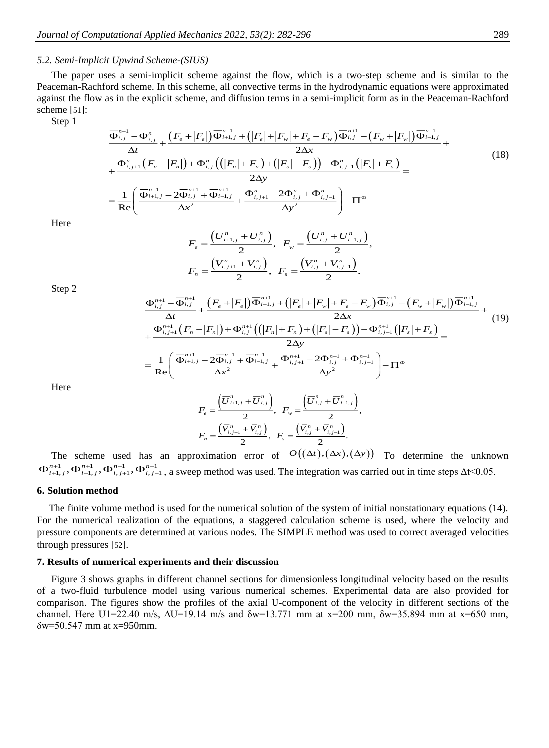## *5.2. Semi-Implicit Upwind Scheme-(SIUS)*

The paper uses a semi-implicit scheme against the flow, which is a two-step scheme and is similar to the Peaceman-Rachford scheme. In this scheme, all convective terms in the hydrodynamic equations were approximated against the flow as in the explicit scheme, and diffusion terms in a semi-implicit form as in the Peaceman-Rachford scheme [[51](#page-14-15)]:

Step 1

$$
\frac{\overline{\Phi}_{i,j}^{n+1} - \Phi_{i,j}^{n}}{\Delta t} + \frac{\left(F_e + |F_e|\right)\overline{\Phi}_{i+1,j}^{n+1} + \left(|F_e| + |F_w| + F_e - F_w\right)\overline{\Phi}_{i,j}^{n+1} - \left(F_w + |F_w|\right)\overline{\Phi}_{i-1,j}^{n+1}}{2\Delta x} + \frac{\Phi_{i,j+1}^{n}\left(F_n - |F_n|\right) + \Phi_{i,j}^{n}\left(\left(|F_n| + F_n\right) + \left(|F_s| - F_s\right)\right) - \Phi_{i,j-1}^{n}\left(|F_s| + F_s\right)}{2\Delta y} = \frac{1}{\text{Re}}\left(\frac{\overline{\Phi}_{i+1,j}^{n+1} - 2\overline{\Phi}_{i,j}^{n+1} + \overline{\Phi}_{i-1,j}^{n+1}}{\Delta x^2} + \frac{\Phi_{i,j+1}^{n} - 2\Phi_{i,j}^{n} + \Phi_{i,j-1}^{n}}{\Delta y^2}\right) - \Pi^{\Phi}\n\tag{18}
$$

Here

$$
F_e = \frac{\left(U_{i+1,j}^n + U_{i,j}^n\right)}{2}, \quad F_w = \frac{\left(U_{i,j}^n + U_{i-1,j}^n\right)}{2},
$$

$$
F_n = \frac{\left(V_{i,j+1}^n + V_{i,j}^n\right)}{2}, \quad F_s = \frac{\left(V_{i,j}^n + V_{i,j-1}^n\right)}{2}.
$$

Step 2

$$
\frac{\Phi_{i,j}^{n+1} - \overline{\Phi}_{i,j}^{n+1}}{\Delta t} + \frac{\left(F_e + |F_e|\right)\overline{\Phi}_{i+1,j}^{n+1} + \left(|F_e| + |F_w| + F_e - F_w\right)\overline{\Phi}_{i,j}^{n+1} - \left(F_w + |F_w|\right)\overline{\Phi}_{i-1,j}^{n+1}}{2\Delta x} + \frac{\Phi_{i,j+1}^{n+1}\left(F_n - |F_n|\right) + \Phi_{i,j}^{n+1}\left(\left(|F_n| + F_n\right) + \left(|F_s| - F_s\right)\right) - \Phi_{i,j-1}^{n+1}\left(|F_s| + F_s\right)}{2\Delta y} = \frac{1}{\text{Re}} \left(\frac{\overline{\Phi}_{i+1,j}^{n+1} - 2\overline{\Phi}_{i,j}^{n+1} + \overline{\Phi}_{i-1,j}^{n+1}}{\Delta x^2} + \frac{\Phi_{i,j+1}^{n+1} - 2\Phi_{i,j}^{n+1} + \Phi_{i,j-1}^{n+1}}{\Delta y^2}\right) - \Pi^{\Phi}\n\tag{19}
$$

Here

$$
F_e = \frac{(\overline{U}_{i+1,j}^n + \overline{U}_{i,j}^n)}{2}, \ \ F_w = \frac{(\overline{U}_{i,j}^n + \overline{U}_{i-1,j}^n)}{2},
$$
  

$$
F_n = \frac{(\overline{V}_{i,j+1}^n + \overline{V}_{i,j}^n)}{2}, \ \ F_s = \frac{(\overline{V}_{i,j}^n + \overline{V}_{i,j-1}^n)}{2}.
$$

The scheme used has an approximation error of  $O((\Delta t), (\Delta x), (\Delta y))$  To determine the unknown  $\Phi_{i+1,j}^{n+1}, \Phi_{i-1,j}^{n+1}, \Phi_{i,j+1}^{n+1}, \Phi_{i,j-1}^{n+1}$ , a sweep method was used. The integration was carried out in time steps  $\Delta t < 0.05$ .

#### **6. Solution method**

The finite volume method is used for the numerical solution of the system of initial nonstationary equations (14). For the numerical realization of the equations, a staggered calculation scheme is used, where the velocity and pressure components are determined at various nodes. The SIMPLE method was used to correct averaged velocities through pressures [[52](#page-14-16)].

## **7. Results of numerical experiments and their discussion**

Figure 3 shows graphs in different channel sections for dimensionless longitudinal velocity based on the results of a two-fluid turbulence model using various numerical schemes. Experimental data are also provided for comparison. The figures show the profiles of the axial U-component of the velocity in different sections of the channel. Here U1=22.40 m/s,  $\Delta U$ =19.14 m/s and  $\delta w$ =13.771 mm at x=200 mm,  $\delta w$ =35.894 mm at x=650 mm,  $\delta$ w=50.547 mm at x=950mm.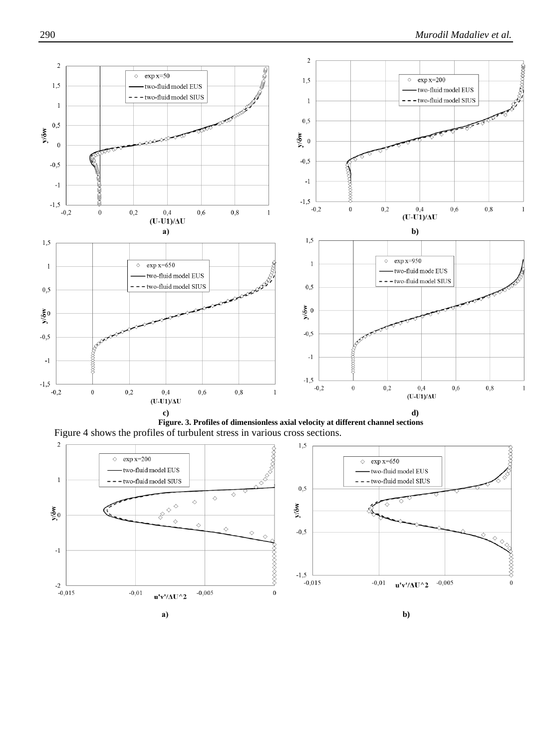

**Figure. 3. Profiles of dimensionless axial velocity at different channel sections** Figure 4 shows the profiles of turbulent stress in various cross sections.

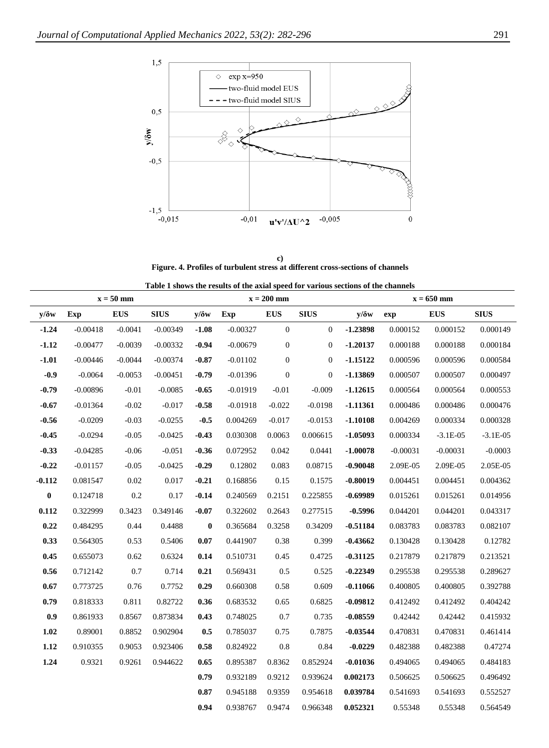

**c) Figure. 4. Profiles of turbulent stress at different cross-sections of channels**

|  | Table 1 shows the results of the axial speed for various sections of the channels |
|--|-----------------------------------------------------------------------------------|
|--|-----------------------------------------------------------------------------------|

|              | $x = 50$ mm |            |             |              | $x = 200$ mm |                  |                  | $x = 650$ mm |            |            |             |
|--------------|-------------|------------|-------------|--------------|--------------|------------------|------------------|--------------|------------|------------|-------------|
| $y/\delta w$ | Exp         | <b>EUS</b> | <b>SIUS</b> | $y/\delta w$ | Exp          | <b>EUS</b>       | <b>SIUS</b>      | $y/\delta w$ | exp        | <b>EUS</b> | <b>SIUS</b> |
| $-1.24$      | $-0.00418$  | $-0.0041$  | $-0.00349$  | $-1.08$      | $-0.00327$   | $\boldsymbol{0}$ | $\mathbf{0}$     | $-1.23898$   | 0.000152   | 0.000152   | 0.000149    |
| $-1.12$      | $-0.00477$  | $-0.0039$  | $-0.00332$  | $-0.94$      | $-0.00679$   | $\mathbf{0}$     | $\boldsymbol{0}$ | $-1.20137$   | 0.000188   | 0.000188   | 0.000184    |
| $-1.01$      | $-0.00446$  | $-0.0044$  | $-0.00374$  | $-0.87$      | $-0.01102$   | $\mathbf{0}$     | $\boldsymbol{0}$ | $-1.15122$   | 0.000596   | 0.000596   | 0.000584    |
| $-0.9$       | $-0.0064$   | $-0.0053$  | $-0.00451$  | $-0.79$      | $-0.01396$   | $\mathbf{0}$     | $\boldsymbol{0}$ | $-1.13869$   | 0.000507   | 0.000507   | 0.000497    |
| $-0.79$      | $-0.00896$  | $-0.01$    | $-0.0085$   | $-0.65$      | $-0.01919$   | $-0.01$          | $-0.009$         | $-1.12615$   | 0.000564   | 0.000564   | 0.000553    |
| $-0.67$      | $-0.01364$  | $-0.02$    | $-0.017$    | $-0.58$      | $-0.01918$   | $-0.022$         | $-0.0198$        | $-1.11361$   | 0.000486   | 0.000486   | 0.000476    |
| $-0.56$      | $-0.0209$   | $-0.03$    | $-0.0255$   | $-0.5$       | 0.004269     | $-0.017$         | $-0.0153$        | $-1.10108$   | 0.004269   | 0.000334   | 0.000328    |
| $-0.45$      | $-0.0294$   | $-0.05$    | $-0.0425$   | $-0.43$      | 0.030308     | 0.0063           | 0.006615         | $-1.05093$   | 0.000334   | $-3.1E-05$ | $-3.1E-05$  |
| $-0.33$      | $-0.04285$  | $-0.06$    | $-0.051$    | $-0.36$      | 0.072952     | 0.042            | 0.0441           | $-1.00078$   | $-0.00031$ | $-0.00031$ | $-0.0003$   |
| $-0.22$      | $-0.01157$  | $-0.05$    | $-0.0425$   | $-0.29$      | 0.12802      | 0.083            | 0.08715          | $-0.90048$   | 2.09E-05   | 2.09E-05   | 2.05E-05    |
| $-0.112$     | 0.081547    | 0.02       | 0.017       | $-0.21$      | 0.168856     | 0.15             | 0.1575           | $-0.80019$   | 0.004451   | 0.004451   | 0.004362    |
| $\bf{0}$     | 0.124718    | 0.2        | 0.17        | $-0.14$      | 0.240569     | 0.2151           | 0.225855         | $-0.69989$   | 0.015261   | 0.015261   | 0.014956    |
| 0.112        | 0.322999    | 0.3423     | 0.349146    | $-0.07$      | 0.322602     | 0.2643           | 0.277515         | $-0.5996$    | 0.044201   | 0.044201   | 0.043317    |
| 0.22         | 0.484295    | 0.44       | 0.4488      | $\bf{0}$     | 0.365684     | 0.3258           | 0.34209          | $-0.51184$   | 0.083783   | 0.083783   | 0.082107    |
| 0.33         | 0.564305    | 0.53       | 0.5406      | 0.07         | 0.441907     | 0.38             | 0.399            | $-0.43662$   | 0.130428   | 0.130428   | 0.12782     |
| 0.45         | 0.655073    | 0.62       | 0.6324      | 0.14         | 0.510731     | 0.45             | 0.4725           | $-0.31125$   | 0.217879   | 0.217879   | 0.213521    |
| 0.56         | 0.712142    | 0.7        | 0.714       | 0.21         | 0.569431     | 0.5              | 0.525            | $-0.22349$   | 0.295538   | 0.295538   | 0.289627    |
| 0.67         | 0.773725    | 0.76       | 0.7752      | 0.29         | 0.660308     | 0.58             | 0.609            | $-0.11066$   | 0.400805   | 0.400805   | 0.392788    |
| 0.79         | 0.818333    | 0.811      | 0.82722     | 0.36         | 0.683532     | 0.65             | 0.6825           | $-0.09812$   | 0.412492   | 0.412492   | 0.404242    |
| 0.9          | 0.861933    | 0.8567     | 0.873834    | 0.43         | 0.748025     | 0.7              | 0.735            | $-0.08559$   | 0.42442    | 0.42442    | 0.415932    |
| 1.02         | 0.89001     | 0.8852     | 0.902904    | 0.5          | 0.785037     | 0.75             | 0.7875           | $-0.03544$   | 0.470831   | 0.470831   | 0.461414    |
| 1.12         | 0.910355    | 0.9053     | 0.923406    | 0.58         | 0.824922     | 0.8              | 0.84             | $-0.0229$    | 0.482388   | 0.482388   | 0.47274     |
| 1.24         | 0.9321      | 0.9261     | 0.944622    | 0.65         | 0.895387     | 0.8362           | 0.852924         | $-0.01036$   | 0.494065   | 0.494065   | 0.484183    |
|              |             |            |             | 0.79         | 0.932189     | 0.9212           | 0.939624         | 0.002173     | 0.506625   | 0.506625   | 0.496492    |
|              |             |            |             | $\bf 0.87$   | 0.945188     | 0.9359           | 0.954618         | 0.039784     | 0.541693   | 0.541693   | 0.552527    |
|              |             |            |             | 0.94         | 0.938767     | 0.9474           | 0.966348         | 0.052321     | 0.55348    | 0.55348    | 0.564549    |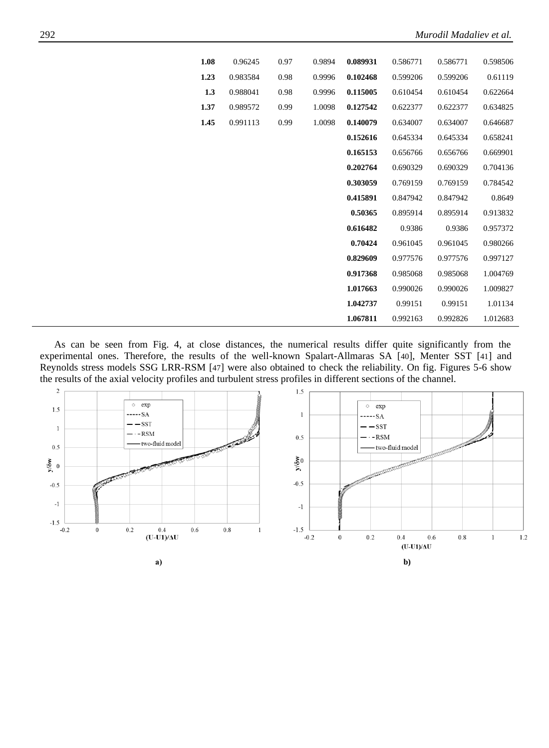| 0.96245  | 1.08 | 0.97 | 0.9894 | 0.089931 | 0.586771 | 0.586771 | 0.598506 |
|----------|------|------|--------|----------|----------|----------|----------|
| 0.983584 | 1.23 | 0.98 | 0.9996 | 0.102468 | 0.599206 | 0.599206 | 0.61119  |
| 0.988041 | 1.3  | 0.98 | 0.9996 | 0.115005 | 0.610454 | 0.610454 | 0.622664 |
| 0.989572 | 1.37 | 0.99 | 1.0098 | 0.127542 | 0.622377 | 0.622377 | 0.634825 |
| 0.991113 | 1.45 | 0.99 | 1.0098 | 0.140079 | 0.634007 | 0.634007 | 0.646687 |
|          |      |      |        | 0.152616 | 0.645334 | 0.645334 | 0.658241 |
|          |      |      |        | 0.165153 | 0.656766 | 0.656766 | 0.669901 |
|          |      |      |        | 0.202764 | 0.690329 | 0.690329 | 0.704136 |
|          |      |      |        | 0.303059 | 0.769159 | 0.769159 | 0.784542 |
|          |      |      |        | 0.415891 | 0.847942 | 0.847942 | 0.8649   |
|          |      |      |        | 0.50365  | 0.895914 | 0.895914 | 0.913832 |
|          |      |      |        | 0.616482 | 0.9386   | 0.9386   | 0.957372 |
|          |      |      |        | 0.70424  | 0.961045 | 0.961045 | 0.980266 |
|          |      |      |        | 0.829609 | 0.977576 | 0.977576 | 0.997127 |
|          |      |      |        | 0.917368 | 0.985068 | 0.985068 | 1.004769 |
|          |      |      |        | 1.017663 | 0.990026 | 0.990026 | 1.009827 |
|          |      |      |        | 1.042737 | 0.99151  | 0.99151  | 1.01134  |
|          |      |      |        | 1.067811 | 0.992163 | 0.992826 | 1.012683 |

As can be seen from Fig. 4, at close distances, the numerical results differ quite significantly from the experimental ones. Therefore, the results of the well-known Spalart-Allmaras SA [[40](#page-14-4)], Menter SST [[41](#page-14-5)] and Reynolds stress models SSG LRR-RSM [[47](#page-14-11)] were also obtained to check the reliability. On fig. Figures 5-6 show the results of the axial velocity profiles and turbulent stress profiles in different sections of the channel.

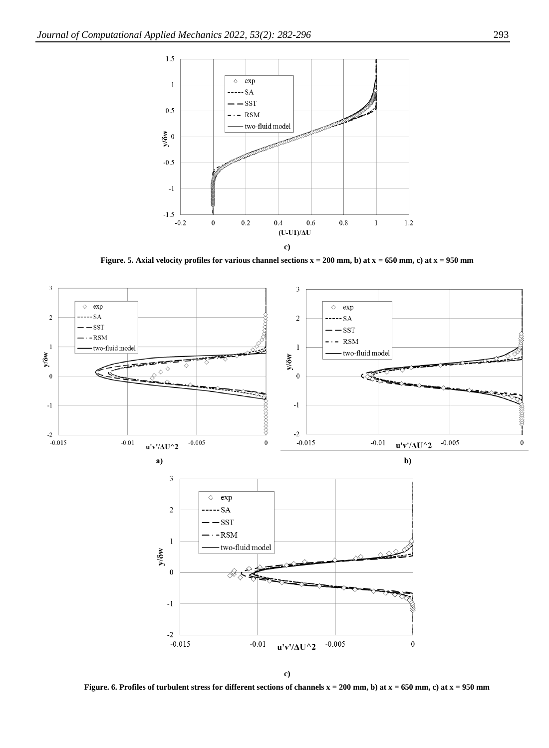

**Figure. 5. Axial velocity profiles for various channel sections x = 200 mm, b) at x = 650 mm, c) at x = 950 mm**



**c)**

**Figure. 6. Profiles of turbulent stress for different sections of channels x = 200 mm, b) at x = 650 mm, c) at x = 950 mm**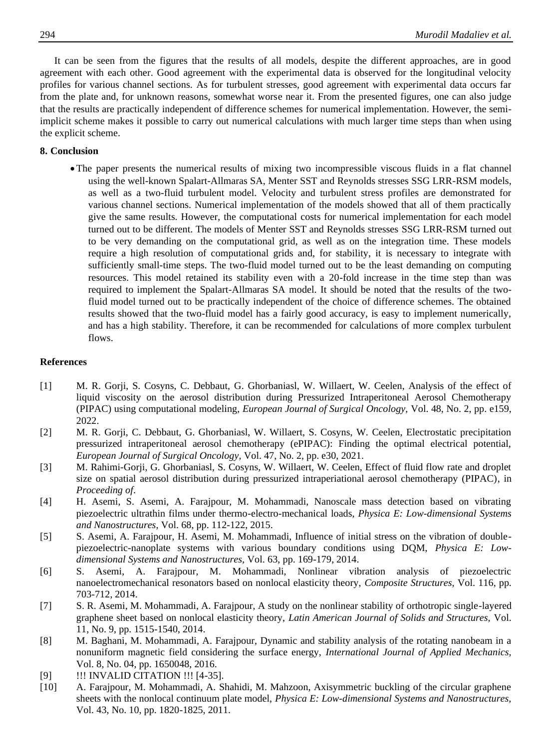It can be seen from the figures that the results of all models, despite the different approaches, are in good agreement with each other. Good agreement with the experimental data is observed for the longitudinal velocity profiles for various channel sections. As for turbulent stresses, good agreement with experimental data occurs far from the plate and, for unknown reasons, somewhat worse near it. From the presented figures, one can also judge that the results are practically independent of difference schemes for numerical implementation. However, the semiimplicit scheme makes it possible to carry out numerical calculations with much larger time steps than when using the explicit scheme.

# **8. Conclusion**

• The paper presents the numerical results of mixing two incompressible viscous fluids in a flat channel using the well-known Spalart-Allmaras SA, Menter SST and Reynolds stresses SSG LRR-RSM models, as well as a two-fluid turbulent model. Velocity and turbulent stress profiles are demonstrated for various channel sections. Numerical implementation of the models showed that all of them practically give the same results. However, the computational costs for numerical implementation for each model turned out to be different. The models of Menter SST and Reynolds stresses SSG LRR-RSM turned out to be very demanding on the computational grid, as well as on the integration time. These models require a high resolution of computational grids and, for stability, it is necessary to integrate with sufficiently small-time steps. The two-fluid model turned out to be the least demanding on computing resources. This model retained its stability even with a 20-fold increase in the time step than was required to implement the Spalart-Allmaras SA model. It should be noted that the results of the twofluid model turned out to be practically independent of the choice of difference schemes. The obtained results showed that the two-fluid model has a fairly good accuracy, is easy to implement numerically, and has a high stability. Therefore, it can be recommended for calculations of more complex turbulent flows.

# **References**

- <span id="page-12-0"></span>[1] M. R. Gorji, S. Cosyns, C. Debbaut, G. Ghorbaniasl, W. Willaert, W. Ceelen, Analysis of the effect of liquid viscosity on the aerosol distribution during Pressurized Intraperitoneal Aerosol Chemotherapy (PIPAC) using computational modeling, *European Journal of Surgical Oncology,* Vol. 48, No. 2, pp. e159, 2022.
- [2] M. R. Gorji, C. Debbaut, G. Ghorbaniasl, W. Willaert, S. Cosyns, W. Ceelen, Electrostatic precipitation pressurized intraperitoneal aerosol chemotherapy (ePIPAC): Finding the optimal electrical potential, *European Journal of Surgical Oncology,* Vol. 47, No. 2, pp. e30, 2021.
- [3] M. Rahimi-Gorji, G. Ghorbaniasl, S. Cosyns, W. Willaert, W. Ceelen, Effect of fluid flow rate and droplet size on spatial aerosol distribution during pressurized intraperiational aerosol chemotherapy (PIPAC), in *Proceeding of*.
- <span id="page-12-1"></span>[4] H. Asemi, S. Asemi, A. Farajpour, M. Mohammadi, Nanoscale mass detection based on vibrating piezoelectric ultrathin films under thermo-electro-mechanical loads, *Physica E: Low-dimensional Systems and Nanostructures,* Vol. 68, pp. 112-122, 2015.
- <span id="page-12-2"></span>[5] S. Asemi, A. Farajpour, H. Asemi, M. Mohammadi, Influence of initial stress on the vibration of doublepiezoelectric-nanoplate systems with various boundary conditions using DQM, *Physica E: Lowdimensional Systems and Nanostructures,* Vol. 63, pp. 169-179, 2014.
- <span id="page-12-3"></span>[6] S. Asemi, A. Farajpour, M. Mohammadi, Nonlinear vibration analysis of piezoelectric nanoelectromechanical resonators based on nonlocal elasticity theory, *Composite Structures,* Vol. 116, pp. 703-712, 2014.
- <span id="page-12-4"></span>[7] S. R. Asemi, M. Mohammadi, A. Farajpour, A study on the nonlinear stability of orthotropic single-layered graphene sheet based on nonlocal elasticity theory, *Latin American Journal of Solids and Structures,* Vol. 11, No. 9, pp. 1515-1540, 2014.
- <span id="page-12-5"></span>[8] M. Baghani, M. Mohammadi, A. Farajpour, Dynamic and stability analysis of the rotating nanobeam in a nonuniform magnetic field considering the surface energy, *International Journal of Applied Mechanics,* Vol. 8, No. 04, pp. 1650048, 2016.
- [9] !!! INVALID CITATION !!! [4-35].
- <span id="page-12-6"></span>[10] A. Farajpour, M. Mohammadi, A. Shahidi, M. Mahzoon, Axisymmetric buckling of the circular graphene sheets with the nonlocal continuum plate model, *Physica E: Low-dimensional Systems and Nanostructures,* Vol. 43, No. 10, pp. 1820-1825, 2011.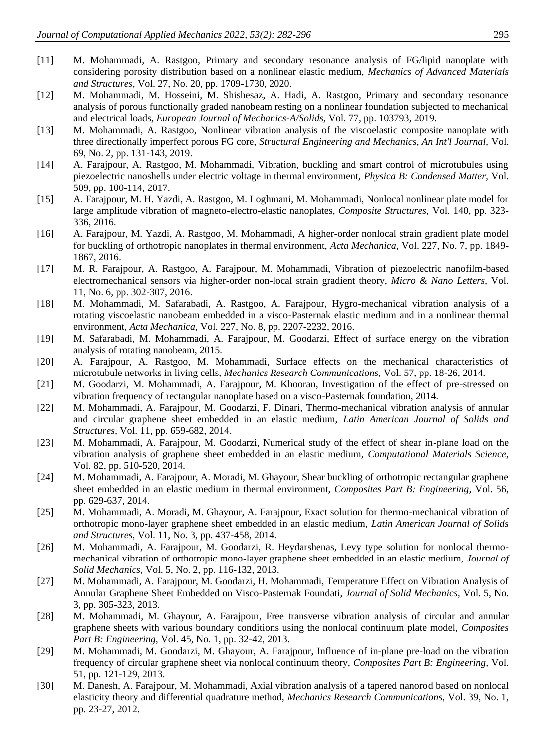- <span id="page-13-13"></span>[11] M. Mohammadi, A. Rastgoo, Primary and secondary resonance analysis of FG/lipid nanoplate with considering porosity distribution based on a nonlinear elastic medium, *Mechanics of Advanced Materials and Structures,* Vol. 27, No. 20, pp. 1709-1730, 2020.
- <span id="page-13-11"></span>[12] M. Mohammadi, M. Hosseini, M. Shishesaz, A. Hadi, A. Rastgoo, Primary and secondary resonance analysis of porous functionally graded nanobeam resting on a nonlinear foundation subjected to mechanical and electrical loads, *European Journal of Mechanics-A/Solids,* Vol. 77, pp. 103793, 2019.
- [13] M. Mohammadi, A. Rastgoo, Nonlinear vibration analysis of the viscoelastic composite nanoplate with three directionally imperfect porous FG core, *Structural Engineering and Mechanics, An Int'l Journal,* Vol. 69, No. 2, pp. 131-143, 2019.
- <span id="page-13-3"></span>[14] A. Farajpour, A. Rastgoo, M. Mohammadi, Vibration, buckling and smart control of microtubules using piezoelectric nanoshells under electric voltage in thermal environment, *Physica B: Condensed Matter,* Vol. 509, pp. 100-114, 2017.
- <span id="page-13-1"></span>[15] A. Farajpour, M. H. Yazdi, A. Rastgoo, M. Loghmani, M. Mohammadi, Nonlocal nonlinear plate model for large amplitude vibration of magneto-electro-elastic nanoplates, *Composite Structures,* Vol. 140, pp. 323- 336, 2016.
- <span id="page-13-4"></span>[16] A. Farajpour, M. Yazdi, A. Rastgoo, M. Mohammadi, A higher-order nonlocal strain gradient plate model for buckling of orthotropic nanoplates in thermal environment, *Acta Mechanica,* Vol. 227, No. 7, pp. 1849- 1867, 2016.
- <span id="page-13-5"></span>[17] M. R. Farajpour, A. Rastgoo, A. Farajpour, M. Mohammadi, Vibration of piezoelectric nanofilm-based electromechanical sensors via higher-order non-local strain gradient theory, *Micro & Nano Letters,* Vol. 11, No. 6, pp. 302-307, 2016.
- <span id="page-13-14"></span>[18] M. Mohammadi, M. Safarabadi, A. Rastgoo, A. Farajpour, Hygro-mechanical vibration analysis of a rotating viscoelastic nanobeam embedded in a visco-Pasternak elastic medium and in a nonlinear thermal environment, *Acta Mechanica,* Vol. 227, No. 8, pp. 2207-2232, 2016.
- [19] M. Safarabadi, M. Mohammadi, A. Farajpour, M. Goodarzi, Effect of surface energy on the vibration analysis of rotating nanobeam, 2015.
- <span id="page-13-2"></span>[20] A. Farajpour, A. Rastgoo, M. Mohammadi, Surface effects on the mechanical characteristics of microtubule networks in living cells, *Mechanics Research Communications,* Vol. 57, pp. 18-26, 2014.
- [21] M. Goodarzi, M. Mohammadi, A. Farajpour, M. Khooran, Investigation of the effect of pre-stressed on vibration frequency of rectangular nanoplate based on a visco-Pasternak foundation, 2014.
- <span id="page-13-6"></span>[22] M. Mohammadi, A. Farajpour, M. Goodarzi, F. Dinari, Thermo-mechanical vibration analysis of annular and circular graphene sheet embedded in an elastic medium, *Latin American Journal of Solids and Structures,* Vol. 11, pp. 659-682, 2014.
- <span id="page-13-7"></span>[23] M. Mohammadi, A. Farajpour, M. Goodarzi, Numerical study of the effect of shear in-plane load on the vibration analysis of graphene sheet embedded in an elastic medium, *Computational Materials Science,* Vol. 82, pp. 510-520, 2014.
- <span id="page-13-8"></span>[24] M. Mohammadi, A. Farajpour, A. Moradi, M. Ghayour, Shear buckling of orthotropic rectangular graphene sheet embedded in an elastic medium in thermal environment, *Composites Part B: Engineering,* Vol. 56, pp. 629-637, 2014.
- <span id="page-13-12"></span>[25] M. Mohammadi, A. Moradi, M. Ghayour, A. Farajpour, Exact solution for thermo-mechanical vibration of orthotropic mono-layer graphene sheet embedded in an elastic medium, *Latin American Journal of Solids and Structures,* Vol. 11, No. 3, pp. 437-458, 2014.
- [26] M. Mohammadi, A. Farajpour, M. Goodarzi, R. Heydarshenas, Levy type solution for nonlocal thermomechanical vibration of orthotropic mono-layer graphene sheet embedded in an elastic medium, *Journal of Solid Mechanics,* Vol. 5, No. 2, pp. 116-132, 2013.
- [27] M. Mohammadi, A. Farajpour, M. Goodarzi, H. Mohammadi, Temperature Effect on Vibration Analysis of Annular Graphene Sheet Embedded on Visco-Pasternak Foundati, *Journal of Solid Mechanics,* Vol. 5, No. 3, pp. 305-323, 2013.
- <span id="page-13-9"></span>[28] M. Mohammadi, M. Ghayour, A. Farajpour, Free transverse vibration analysis of circular and annular graphene sheets with various boundary conditions using the nonlocal continuum plate model, *Composites Part B: Engineering,* Vol. 45, No. 1, pp. 32-42, 2013.
- <span id="page-13-10"></span>[29] M. Mohammadi, M. Goodarzi, M. Ghayour, A. Farajpour, Influence of in-plane pre-load on the vibration frequency of circular graphene sheet via nonlocal continuum theory, *Composites Part B: Engineering,* Vol. 51, pp. 121-129, 2013.
- <span id="page-13-0"></span>[30] M. Danesh, A. Farajpour, M. Mohammadi, Axial vibration analysis of a tapered nanorod based on nonlocal elasticity theory and differential quadrature method, *Mechanics Research Communications,* Vol. 39, No. 1, pp. 23-27, 2012.